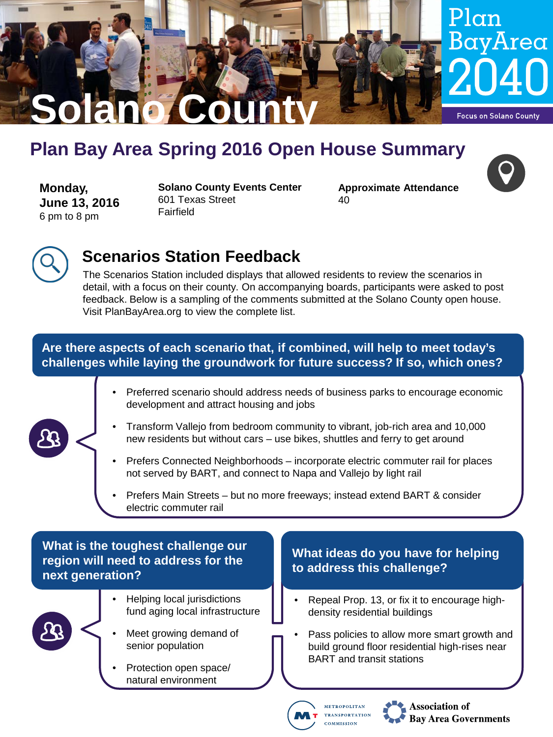

# **Plan Bay Area Spring 2016 Open House Summary**

**Monday, June 13, 2016** 6 pm to 8 pm

**Solano County Events Center** 601 Texas Street Fairfield

**Approximate Attendance** 40





# **Scenarios Station Feedback**

The Scenarios Station included displays that allowed residents to review the scenarios in detail, with a focus on their county. On accompanying boards, participants were asked to post feedback. Below is a sampling of the comments submitted at the Solano County open house. Visit PlanBayArea.org to view the complete list.

#### **Are there aspects of each scenario that, if combined, will help to meet today's challenges while laying the groundwork for future success? If so, which ones?**

• Preferred scenario should address needs of business parks to encourage economic development and attract housing and jobs



- Transform Vallejo from bedroom community to vibrant, job-rich area and 10,000 new residents but without cars – use bikes, shuttles and ferry to get around
- Prefers Connected Neighborhoods incorporate electric commuter rail for places not served by BART, and connect to Napa and Vallejo by light rail
- Prefers Main Streets but no more freeways; instead extend BART & consider electric commuter rail

## **What is the toughest challenge our region will need to address for the next generation?**



- Helping local jurisdictions fund aging local infrastructure
- Meet growing demand of senior population
- Protection open space/ natural environment

### **What ideas do you have for helping to address this challenge?**

- Repeal Prop. 13, or fix it to encourage highdensity residential buildings
- Pass policies to allow more smart growth and build ground floor residential high-rises near BART and transit stations



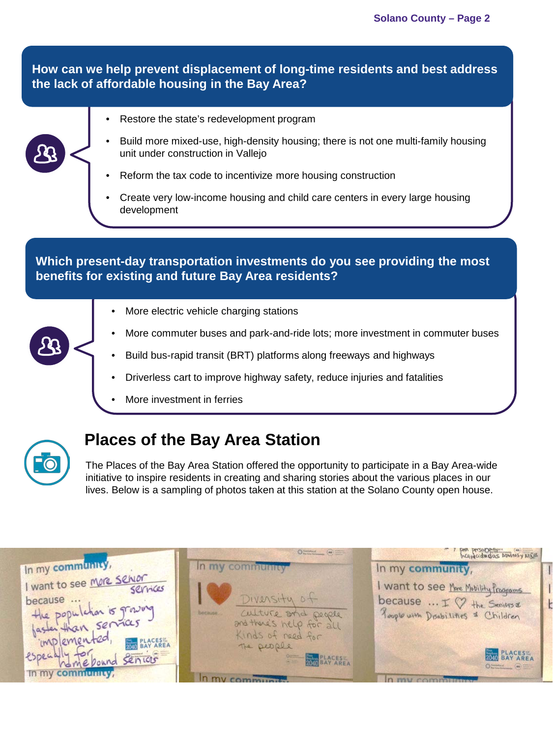**How can we help prevent displacement of long-time residents and best address the lack of affordable housing in the Bay Area?**

- 
- Restore the state's redevelopment program
- Build more mixed-use, high-density housing; there is not one multi-family housing unit under construction in Vallejo
- Reform the tax code to incentivize more housing construction
- Create very low-income housing and child care centers in every large housing development

**Which present-day transportation investments do you see providing the most benefits for existing and future Bay Area residents?**

- More electric vehicle charging stations
- More commuter buses and park-and-ride lots; more investment in commuter buses
- Build bus-rapid transit (BRT) platforms along freeways and highways
- Driverless cart to improve highway safety, reduce injuries and fatalities
- More investment in ferries



# **Places of the Bay Area Station**

The Places of the Bay Area Station offered the opportunity to participate in a Bay Area-wide initiative to inspire residents in creating and sharing stories about the various places in our lives. Below is a sampling of photos taken at this station at the Solano County open house.

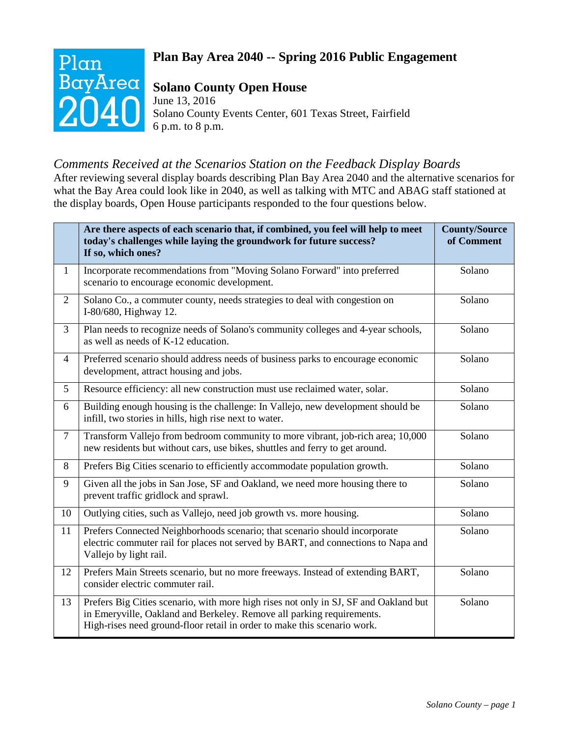# Plan BayArea

# **Plan Bay Area 2040 -- Spring 2016 Public Engagement**

## **Solano County Open House**

June 13, 2016 Solano County Events Center, 601 Texas Street, Fairfield 6 p.m. to 8 p.m.

## *Comments Received at the Scenarios Station on the Feedback Display Boards*

After reviewing several display boards describing Plan Bay Area 2040 and the alternative scenarios for what the Bay Area could look like in 2040, as well as talking with MTC and ABAG staff stationed at the display boards, Open House participants responded to the four questions below.

|                | Are there aspects of each scenario that, if combined, you feel will help to meet<br>today's challenges while laying the groundwork for future success?<br>If so, which ones?                                                              | <b>County/Source</b><br>of Comment |
|----------------|-------------------------------------------------------------------------------------------------------------------------------------------------------------------------------------------------------------------------------------------|------------------------------------|
| $\mathbf{1}$   | Incorporate recommendations from "Moving Solano Forward" into preferred<br>scenario to encourage economic development.                                                                                                                    | Solano                             |
| $\overline{2}$ | Solano Co., a commuter county, needs strategies to deal with congestion on<br>I-80/680, Highway 12.                                                                                                                                       | Solano                             |
| $\overline{3}$ | Plan needs to recognize needs of Solano's community colleges and 4-year schools,<br>as well as needs of K-12 education.                                                                                                                   | Solano                             |
| $\overline{4}$ | Preferred scenario should address needs of business parks to encourage economic<br>development, attract housing and jobs.                                                                                                                 | Solano                             |
| 5              | Resource efficiency: all new construction must use reclaimed water, solar.                                                                                                                                                                | Solano                             |
| 6              | Building enough housing is the challenge: In Vallejo, new development should be<br>infill, two stories in hills, high rise next to water.                                                                                                 | Solano                             |
| $\overline{7}$ | Transform Vallejo from bedroom community to more vibrant, job-rich area; 10,000<br>new residents but without cars, use bikes, shuttles and ferry to get around.                                                                           | Solano                             |
| 8              | Prefers Big Cities scenario to efficiently accommodate population growth.                                                                                                                                                                 | Solano                             |
| 9              | Given all the jobs in San Jose, SF and Oakland, we need more housing there to<br>prevent traffic gridlock and sprawl.                                                                                                                     | Solano                             |
| 10             | Outlying cities, such as Vallejo, need job growth vs. more housing.                                                                                                                                                                       | Solano                             |
| 11             | Prefers Connected Neighborhoods scenario; that scenario should incorporate<br>electric commuter rail for places not served by BART, and connections to Napa and<br>Vallejo by light rail.                                                 | Solano                             |
| 12             | Prefers Main Streets scenario, but no more freeways. Instead of extending BART,<br>consider electric commuter rail.                                                                                                                       | Solano                             |
| 13             | Prefers Big Cities scenario, with more high rises not only in SJ, SF and Oakland but<br>in Emeryville, Oakland and Berkeley. Remove all parking requirements.<br>High-rises need ground-floor retail in order to make this scenario work. | Solano                             |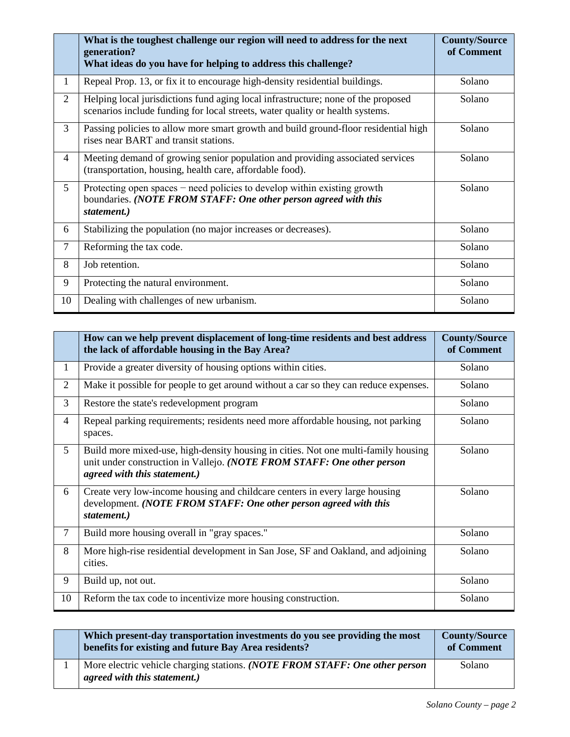|                | What is the toughest challenge our region will need to address for the next<br>generation?<br>What ideas do you have for helping to address this challenge?        | <b>County/Source</b><br>of Comment |
|----------------|--------------------------------------------------------------------------------------------------------------------------------------------------------------------|------------------------------------|
| 1              | Repeal Prop. 13, or fix it to encourage high-density residential buildings.                                                                                        | Solano                             |
| $\overline{2}$ | Helping local jurisdictions fund aging local infrastructure; none of the proposed<br>scenarios include funding for local streets, water quality or health systems. | Solano                             |
| 3              | Passing policies to allow more smart growth and build ground-floor residential high<br>rises near BART and transit stations.                                       | Solano                             |
| 4              | Meeting demand of growing senior population and providing associated services<br>(transportation, housing, health care, affordable food).                          | Solano                             |
| 5              | Protecting open spaces $-$ need policies to develop within existing growth<br>boundaries. (NOTE FROM STAFF: One other person agreed with this<br>statement.)       | Solano                             |
| 6              | Stabilizing the population (no major increases or decreases).                                                                                                      | Solano                             |
| $\overline{7}$ | Reforming the tax code.                                                                                                                                            | Solano                             |
| 8              | Job retention.                                                                                                                                                     | Solano                             |
| 9              | Protecting the natural environment.                                                                                                                                | Solano                             |
| 10             | Dealing with challenges of new urbanism.                                                                                                                           | Solano                             |

|                | How can we help prevent displacement of long-time residents and best address<br>the lack of affordable housing in the Bay Area?                                                              | <b>County/Source</b><br>of Comment |
|----------------|----------------------------------------------------------------------------------------------------------------------------------------------------------------------------------------------|------------------------------------|
| $\mathbf{1}$   | Provide a greater diversity of housing options within cities.                                                                                                                                | Solano                             |
| 2              | Make it possible for people to get around without a car so they can reduce expenses.                                                                                                         | Solano                             |
| 3              | Restore the state's redevelopment program                                                                                                                                                    | Solano                             |
| $\overline{4}$ | Repeal parking requirements; residents need more affordable housing, not parking<br>spaces.                                                                                                  | Solano                             |
| 5              | Build more mixed-use, high-density housing in cities. Not one multi-family housing<br>unit under construction in Vallejo. (NOTE FROM STAFF: One other person<br>agreed with this statement.) | Solano                             |
| 6              | Create very low-income housing and childcare centers in every large housing<br>development. (NOTE FROM STAFF: One other person agreed with this<br>statement.)                               | Solano                             |
| $\overline{7}$ | Build more housing overall in "gray spaces."                                                                                                                                                 | Solano                             |
| 8              | More high-rise residential development in San Jose, SF and Oakland, and adjoining<br>cities.                                                                                                 | Solano                             |
| 9              | Build up, not out.                                                                                                                                                                           | Solano                             |
| 10             | Reform the tax code to incentivize more housing construction.                                                                                                                                | Solano                             |

| Which present-day transportation investments do you see providing the most<br>benefits for existing and future Bay Area residents? | <b>County/Source</b><br>of Comment |
|------------------------------------------------------------------------------------------------------------------------------------|------------------------------------|
| More electric vehicle charging stations. (NOTE FROM STAFF: One other person<br>agreed with this statement.)                        | Solano                             |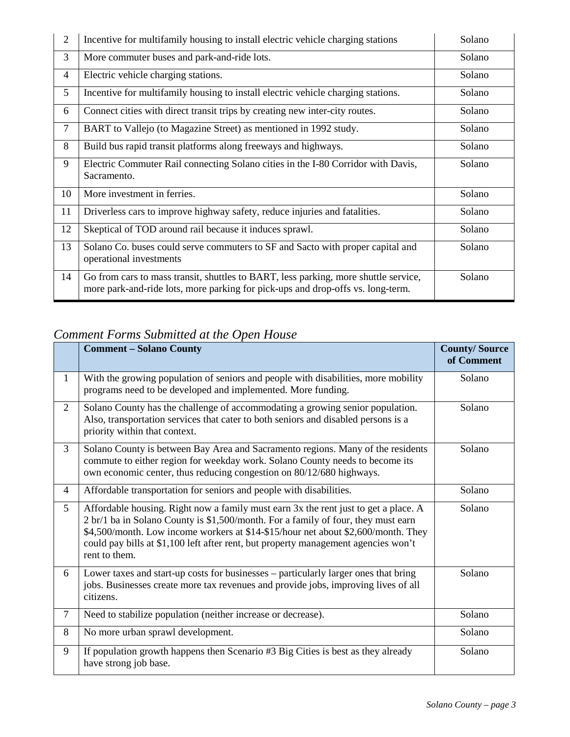| $\overline{2}$ | Incentive for multifamily housing to install electric vehicle charging stations                                                                                        | Solano |
|----------------|------------------------------------------------------------------------------------------------------------------------------------------------------------------------|--------|
| 3              | More commuter buses and park-and-ride lots.                                                                                                                            | Solano |
| $\overline{4}$ | Electric vehicle charging stations.                                                                                                                                    | Solano |
| 5              | Incentive for multifamily housing to install electric vehicle charging stations.                                                                                       | Solano |
| 6              | Connect cities with direct transit trips by creating new inter-city routes.                                                                                            | Solano |
| $\tau$         | BART to Vallejo (to Magazine Street) as mentioned in 1992 study.                                                                                                       | Solano |
| 8              | Build bus rapid transit platforms along freeways and highways.                                                                                                         | Solano |
| 9              | Electric Commuter Rail connecting Solano cities in the I-80 Corridor with Davis,<br>Sacramento.                                                                        | Solano |
| 10             | More investment in ferries.                                                                                                                                            | Solano |
| 11             | Driverless cars to improve highway safety, reduce injuries and fatalities.                                                                                             | Solano |
| 12             | Skeptical of TOD around rail because it induces sprawl.                                                                                                                | Solano |
| 13             | Solano Co. buses could serve commuters to SF and Sacto with proper capital and<br>operational investments                                                              | Solano |
| 14             | Go from cars to mass transit, shuttles to BART, less parking, more shuttle service,<br>more park-and-ride lots, more parking for pick-ups and drop-offs vs. long-term. | Solano |

## *Comment Forms Submitted at the Open House*

|                | <b>Comment - Solano County</b>                                                                                                                                                                                                                                                                                                                                       | <b>County/Source</b><br>of Comment |
|----------------|----------------------------------------------------------------------------------------------------------------------------------------------------------------------------------------------------------------------------------------------------------------------------------------------------------------------------------------------------------------------|------------------------------------|
| $\mathbf{1}$   | With the growing population of seniors and people with disabilities, more mobility<br>programs need to be developed and implemented. More funding.                                                                                                                                                                                                                   | Solano                             |
| $\overline{2}$ | Solano County has the challenge of accommodating a growing senior population.<br>Also, transportation services that cater to both seniors and disabled persons is a<br>priority within that context.                                                                                                                                                                 | Solano                             |
| 3              | Solano County is between Bay Area and Sacramento regions. Many of the residents<br>commute to either region for weekday work. Solano County needs to become its<br>own economic center, thus reducing congestion on 80/12/680 highways.                                                                                                                              | Solano                             |
| $\overline{4}$ | Affordable transportation for seniors and people with disabilities.                                                                                                                                                                                                                                                                                                  | Solano                             |
| 5              | Affordable housing. Right now a family must earn 3x the rent just to get a place. A<br>2 br/1 ba in Solano County is \$1,500/month. For a family of four, they must earn<br>\$4,500/month. Low income workers at \$14-\$15/hour net about \$2,600/month. They<br>could pay bills at \$1,100 left after rent, but property management agencies won't<br>rent to them. | Solano                             |
| 6              | Lower taxes and start-up costs for businesses – particularly larger ones that bring<br>jobs. Businesses create more tax revenues and provide jobs, improving lives of all<br>citizens.                                                                                                                                                                               | Solano                             |
| $\tau$         | Need to stabilize population (neither increase or decrease).                                                                                                                                                                                                                                                                                                         | Solano                             |
| 8              | No more urban sprawl development.                                                                                                                                                                                                                                                                                                                                    | Solano                             |
| 9              | If population growth happens then Scenario #3 Big Cities is best as they already<br>have strong job base.                                                                                                                                                                                                                                                            | Solano                             |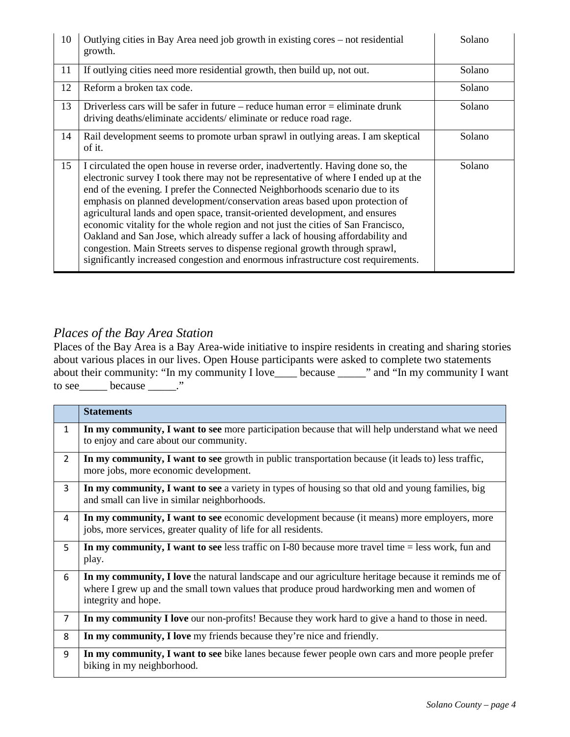| 10 | Outlying cities in Bay Area need job growth in existing cores – not residential<br>growth.                                                                                                                                                                                                                                                                                                                                                                                                                                                                                                                                                                                                                                                                       | Solano |
|----|------------------------------------------------------------------------------------------------------------------------------------------------------------------------------------------------------------------------------------------------------------------------------------------------------------------------------------------------------------------------------------------------------------------------------------------------------------------------------------------------------------------------------------------------------------------------------------------------------------------------------------------------------------------------------------------------------------------------------------------------------------------|--------|
| 11 | If outlying cities need more residential growth, then build up, not out.                                                                                                                                                                                                                                                                                                                                                                                                                                                                                                                                                                                                                                                                                         | Solano |
| 12 | Reform a broken tax code.                                                                                                                                                                                                                                                                                                                                                                                                                                                                                                                                                                                                                                                                                                                                        | Solano |
| 13 | Driverless cars will be safer in future – reduce human error $=$ eliminate drunk<br>driving deaths/eliminate accidents/eliminate or reduce road rage.                                                                                                                                                                                                                                                                                                                                                                                                                                                                                                                                                                                                            | Solano |
| 14 | Rail development seems to promote urban sprawl in outlying areas. I am skeptical<br>of it.                                                                                                                                                                                                                                                                                                                                                                                                                                                                                                                                                                                                                                                                       | Solano |
| 15 | I circulated the open house in reverse order, inadvertently. Having done so, the<br>electronic survey I took there may not be representative of where I ended up at the<br>end of the evening. I prefer the Connected Neighborhoods scenario due to its<br>emphasis on planned development/conservation areas based upon protection of<br>agricultural lands and open space, transit-oriented development, and ensures<br>economic vitality for the whole region and not just the cities of San Francisco,<br>Oakland and San Jose, which already suffer a lack of housing affordability and<br>congestion. Main Streets serves to dispense regional growth through sprawl,<br>significantly increased congestion and enormous infrastructure cost requirements. | Solano |

### *Places of the Bay Area Station*

Places of the Bay Area is a Bay Area-wide initiative to inspire residents in creating and sharing stories about various places in our lives. Open House participants were asked to complete two statements about their community: "In my community I love\_\_\_\_ because \_\_\_\_\_" and "In my community I want to see because \_\_\_\_\_."

|                | <b>Statements</b>                                                                                                                                                                                                       |
|----------------|-------------------------------------------------------------------------------------------------------------------------------------------------------------------------------------------------------------------------|
| $\mathbf{1}$   | In my community, I want to see more participation because that will help understand what we need<br>to enjoy and care about our community.                                                                              |
| $\overline{2}$ | In my community, I want to see growth in public transportation because (it leads to) less traffic,<br>more jobs, more economic development.                                                                             |
| $\overline{3}$ | In my community, I want to see a variety in types of housing so that old and young families, big<br>and small can live in similar neighborhoods.                                                                        |
| 4              | In my community, I want to see economic development because (it means) more employers, more<br>jobs, more services, greater quality of life for all residents.                                                          |
| 5              | In my community, I want to see less traffic on I-80 because more travel time $=$ less work, fun and<br>play.                                                                                                            |
| 6              | In my community, I love the natural landscape and our agriculture heritage because it reminds me of<br>where I grew up and the small town values that produce proud hardworking men and women of<br>integrity and hope. |
| $\overline{7}$ | In my community I love our non-profits! Because they work hard to give a hand to those in need.                                                                                                                         |
| 8              | In my community, I love my friends because they're nice and friendly.                                                                                                                                                   |
| 9              | In my community, I want to see bike lanes because fewer people own cars and more people prefer<br>biking in my neighborhood.                                                                                            |